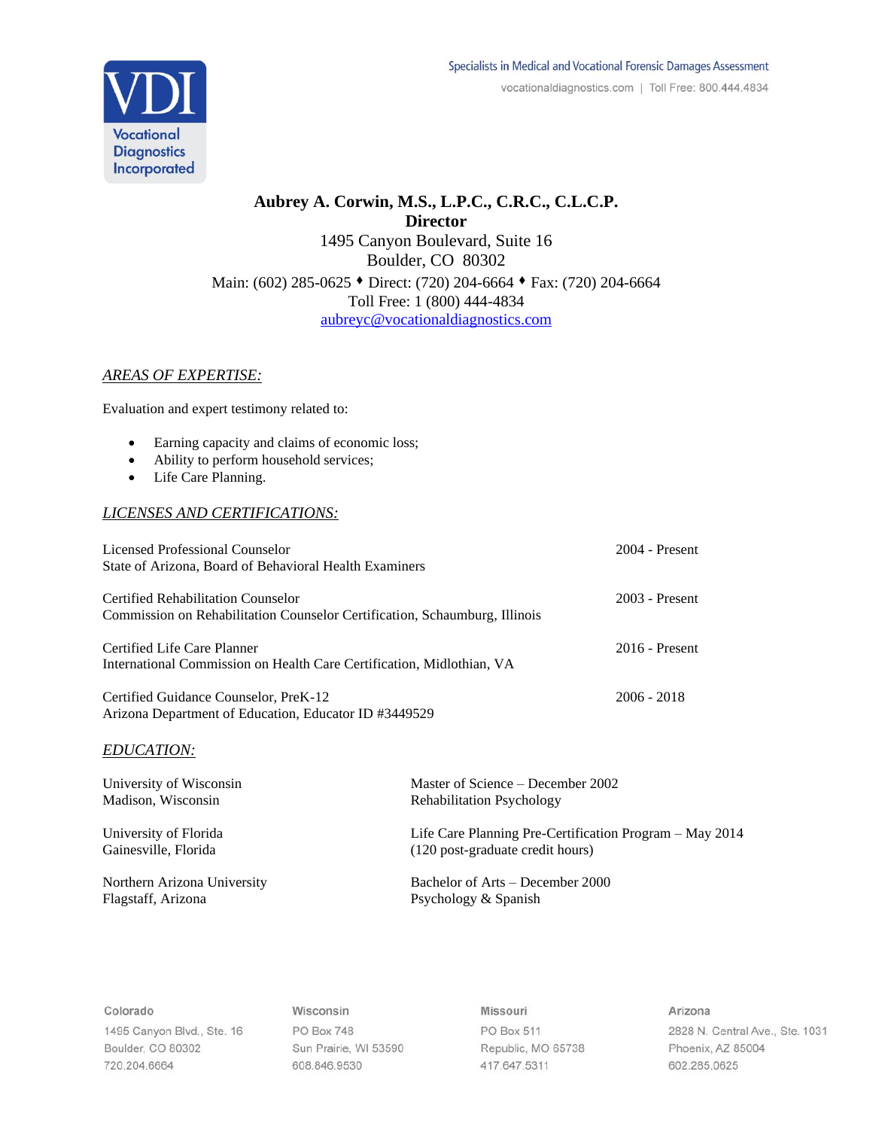

# **Aubrey A. Corwin, M.S., L.P.C., C.R.C., C.L.C.P. Director** 1495 Canyon Boulevard, Suite 16 Boulder, CO 80302 Main: (602) 285-0625 ⬧ Direct: (720) 204-6664 ⬧ Fax: (720) 204-6664 Toll Free: 1 (800) 444-4834 [aubreyc@vocationaldiagnostics.com](mailto:aubreyc@vocationaldiagnostics.com)

# *AREAS OF EXPERTISE:*

Evaluation and expert testimony related to:

- Earning capacity and claims of economic loss;
- Ability to perform household services;
- Life Care Planning.

# *LICENSES AND CERTIFICATIONS:*

| Licensed Professional Counselor                                            | $2004$ - Present |
|----------------------------------------------------------------------------|------------------|
| State of Arizona, Board of Behavioral Health Examiners                     |                  |
| Certified Rehabilitation Counselor                                         | $2003$ - Present |
| Commission on Rehabilitation Counselor Certification, Schaumburg, Illinois |                  |
| Certified Life Care Planner                                                | $2016$ - Present |
| International Commission on Health Care Certification, Midlothian, VA      |                  |
| Certified Guidance Counselor, PreK-12                                      | $2006 - 2018$    |
| Arizona Department of Education, Educator ID #3449529                      |                  |

#### *EDUCATION:*

| University of Wisconsin     | Master of Science – December 2002                       |
|-----------------------------|---------------------------------------------------------|
| Madison, Wisconsin          | <b>Rehabilitation Psychology</b>                        |
| University of Florida       | Life Care Planning Pre-Certification Program – May 2014 |
| Gainesville, Florida        | (120 post-graduate credit hours)                        |
| Northern Arizona University | Bachelor of Arts – December 2000                        |
| Flagstaff, Arizona          | Psychology & Spanish                                    |

#### Colorado

1495 Canyon Blvd., Ste. 16 Boulder, CO 80302 720.204.6664

Wisconsin PO Box 748 Sun Prairie, WI 53590 608.846.9530

Missouri PO Box 511 Republic, MO 65738 417.647.5311

Arizona 2828 N. Central Ave., Ste. 1031 Phoenix, AZ 85004 602.285.0625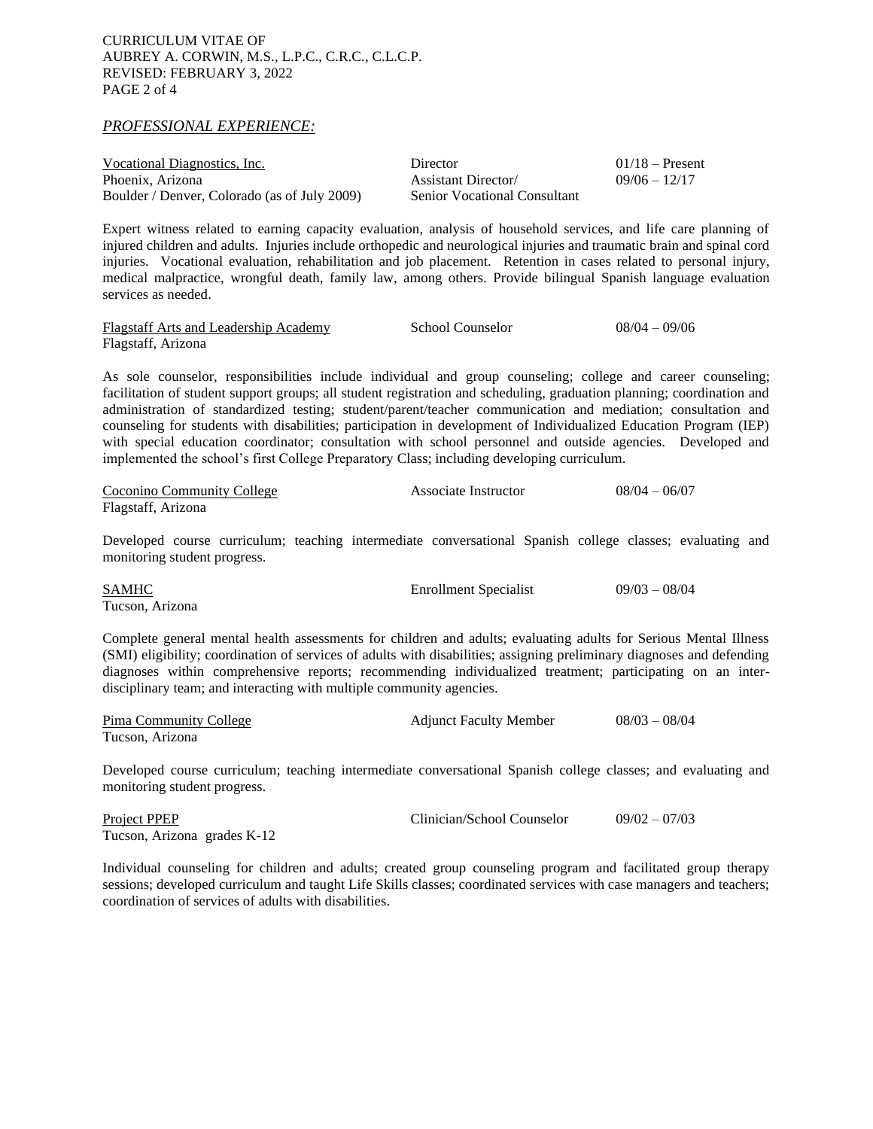*PROFESSIONAL EXPERIENCE:*

| Vocational Diagnostics, Inc.                 | Director                            | $01/18$ – Present |
|----------------------------------------------|-------------------------------------|-------------------|
| Phoenix, Arizona                             | <b>Assistant Director</b>           | $09/06 - 12/17$   |
| Boulder / Denver, Colorado (as of July 2009) | <b>Senior Vocational Consultant</b> |                   |

Expert witness related to earning capacity evaluation, analysis of household services, and life care planning of injured children and adults. Injuries include orthopedic and neurological injuries and traumatic brain and spinal cord injuries. Vocational evaluation, rehabilitation and job placement. Retention in cases related to personal injury, medical malpractice, wrongful death, family law, among others. Provide bilingual Spanish language evaluation services as needed.

Flagstaff Arts and Leadership Academy School Counselor 08/04 – 09/06 Flagstaff, Arizona

As sole counselor, responsibilities include individual and group counseling; college and career counseling; facilitation of student support groups; all student registration and scheduling, graduation planning; coordination and administration of standardized testing; student/parent/teacher communication and mediation; consultation and counseling for students with disabilities; participation in development of Individualized Education Program (IEP) with special education coordinator; consultation with school personnel and outside agencies. Developed and implemented the school's first College Preparatory Class; including developing curriculum.

| Coconino Community College | Associate Instructor | $08/04 - 06/07$ |
|----------------------------|----------------------|-----------------|
| Flagstaff, Arizona         |                      |                 |

Developed course curriculum; teaching intermediate conversational Spanish college classes; evaluating and monitoring student progress.

SAMHC Enrollment Specialist 09/03 – 08/04 Tucson, Arizona

Complete general mental health assessments for children and adults; evaluating adults for Serious Mental Illness (SMI) eligibility; coordination of services of adults with disabilities; assigning preliminary diagnoses and defending diagnoses within comprehensive reports; recommending individualized treatment; participating on an interdisciplinary team; and interacting with multiple community agencies.

| Pima Community College | <b>Adjunct Faculty Member</b> | $08/03 - 08/04$ |
|------------------------|-------------------------------|-----------------|
| Tucson, Arizona        |                               |                 |

Developed course curriculum; teaching intermediate conversational Spanish college classes; and evaluating and monitoring student progress.

| Project PPEP                | Clinician/School Counselor | $09/02 - 07/03$ |
|-----------------------------|----------------------------|-----------------|
| Tucson, Arizona grades K-12 |                            |                 |

Individual counseling for children and adults; created group counseling program and facilitated group therapy sessions; developed curriculum and taught Life Skills classes; coordinated services with case managers and teachers; coordination of services of adults with disabilities.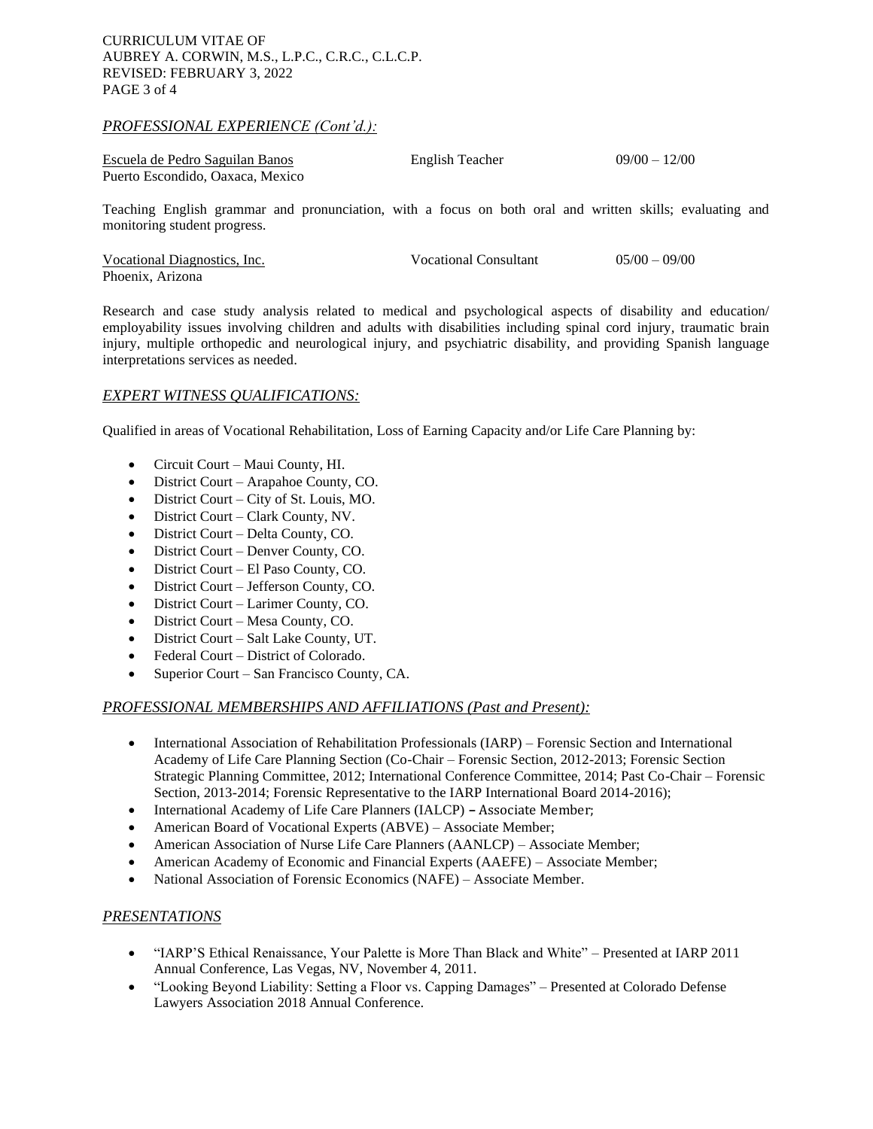### CURRICULUM VITAE OF AUBREY A. CORWIN, M.S., L.P.C., C.R.C., C.L.C.P. REVISED: FEBRUARY 3, 2022 PAGE 3 of 4

#### *PROFESSIONAL EXPERIENCE (Cont'd.):*

| Escuela de Pedro Saguilan Banos  | English Teacher | $09/00 - 12/00$ |
|----------------------------------|-----------------|-----------------|
| Puerto Escondido. Oaxaca. Mexico |                 |                 |

Teaching English grammar and pronunciation, with a focus on both oral and written skills; evaluating and monitoring student progress.

| Vocational Diagnostics, Inc. | <b>Vocational Consultant</b> | $0.5/00 - 0.9/00$ |
|------------------------------|------------------------------|-------------------|
| Phoenix, Arizona             |                              |                   |

Research and case study analysis related to medical and psychological aspects of disability and education/ employability issues involving children and adults with disabilities including spinal cord injury, traumatic brain injury, multiple orthopedic and neurological injury, and psychiatric disability, and providing Spanish language interpretations services as needed.

# *EXPERT WITNESS QUALIFICATIONS:*

Qualified in areas of Vocational Rehabilitation, Loss of Earning Capacity and/or Life Care Planning by:

- Circuit Court Maui County, HI.
- District Court Arapahoe County, CO.
- District Court City of St. Louis, MO.
- District Court Clark County, NV.
- District Court Delta County, CO.
- District Court Denver County, CO.
- District Court El Paso County, CO.
- District Court Jefferson County, CO.
- District Court Larimer County, CO.
- District Court Mesa County, CO.
- District Court Salt Lake County, UT.
- Federal Court District of Colorado.
- Superior Court San Francisco County, CA.

#### *PROFESSIONAL MEMBERSHIPS AND AFFILIATIONS (Past and Present):*

- International Association of Rehabilitation Professionals (IARP) Forensic Section and International Academy of Life Care Planning Section (Co-Chair – Forensic Section, 2012-2013; Forensic Section Strategic Planning Committee, 2012; International Conference Committee, 2014; Past Co-Chair – Forensic Section, 2013-2014; Forensic Representative to the IARP International Board 2014-2016);
- International Academy of Life Care Planners (IALCP) **–** Associate Member;
- American Board of Vocational Experts (ABVE) Associate Member;
- American Association of Nurse Life Care Planners (AANLCP) Associate Member;
- American Academy of Economic and Financial Experts (AAEFE) Associate Member;
- National Association of Forensic Economics (NAFE) Associate Member.

#### *PRESENTATIONS*

- "IARP'S Ethical Renaissance, Your Palette is More Than Black and White" Presented at IARP 2011 Annual Conference, Las Vegas, NV, November 4, 2011.
- "Looking Beyond Liability: Setting a Floor vs. Capping Damages" Presented at Colorado Defense Lawyers Association 2018 Annual Conference.